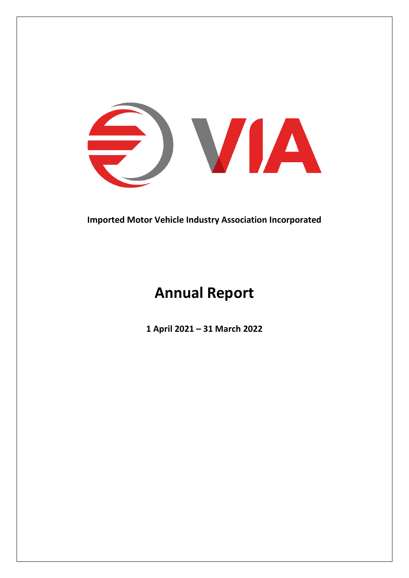

**Imported Motor Vehicle Industry Association Incorporated**

# **Annual Report**

**1 April 2021 – 31 March 2022**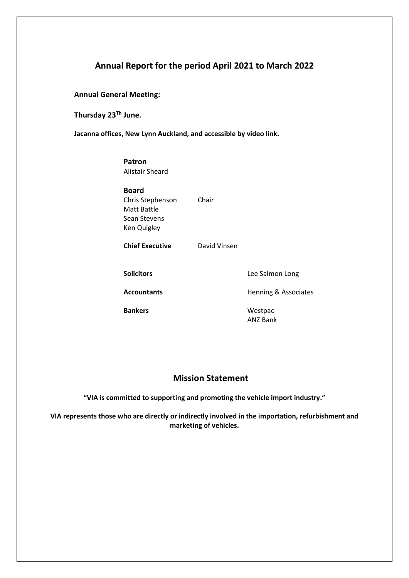# **Annual Report for the period April 2021 to March 2022**

**Annual General Meeting:** 

**Thursday 23 Th June.** 

**Jacanna offices, New Lynn Auckland, and accessible by video link.** 

#### **Patron** Alistair Sheard

**Board** Chris Stephenson Chair Matt Battle Sean Stevens Ken Quigley

**Chief Executive** David Vinsen

Bankers **Bankers** Westpac

**Solicitors** Lee Salmon Long

Accountants **Accountants** Henning & Associates

ANZ Bank

# **Mission Statement**

**"VIA is committed to supporting and promoting the vehicle import industry."**

**VIA represents those who are directly or indirectly involved in the importation, refurbishment and marketing of vehicles.**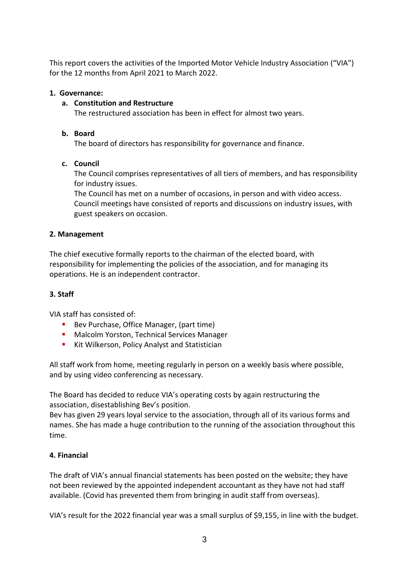This report covers the activities of the Imported Motor Vehicle Industry Association ("VIA") for the 12 months from April 2021 to March 2022.

# **1. Governance:**

# **a. Constitution and Restructure**

The restructured association has been in effect for almost two years.

# **b. Board**

The board of directors has responsibility for governance and finance.

# **c. Council**

The Council comprises representatives of all tiers of members, and has responsibility for industry issues.

The Council has met on a number of occasions, in person and with video access. Council meetings have consisted of reports and discussions on industry issues, with guest speakers on occasion.

# **2. Management**

The chief executive formally reports to the chairman of the elected board, with responsibility for implementing the policies of the association, and for managing its operations. He is an independent contractor.

# **3. Staff**

VIA staff has consisted of:

- Bev Purchase, Office Manager, (part time)
- Malcolm Yorston, Technical Services Manager
- Kit Wilkerson, Policy Analyst and Statistician

All staff work from home, meeting regularly in person on a weekly basis where possible, and by using video conferencing as necessary.

The Board has decided to reduce VIA's operating costs by again restructuring the association, disestablishing Bev's position.

Bev has given 29 years loyal service to the association, through all of its various forms and names. She has made a huge contribution to the running of the association throughout this time.

# **4. Financial**

The draft of VIA's annual financial statements has been posted on the website; they have not been reviewed by the appointed independent accountant as they have not had staff available. (Covid has prevented them from bringing in audit staff from overseas).

VIA's result for the 2022 financial year was a small surplus of \$9,155, in line with the budget.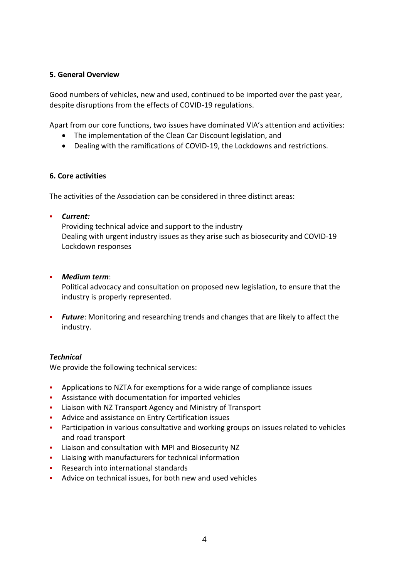#### **5. General Overview**

Good numbers of vehicles, new and used, continued to be imported over the past year, despite disruptions from the effects of COVID-19 regulations.

Apart from our core functions, two issues have dominated VIA's attention and activities:

- The implementation of the Clean Car Discount legislation, and
- Dealing with the ramifications of COVID-19, the Lockdowns and restrictions.

#### **6. Core activities**

The activities of the Association can be considered in three distinct areas:

▪ *Current:* 

Providing technical advice and support to the industry Dealing with urgent industry issues as they arise such as biosecurity and COVID-19 Lockdown responses

▪ *Medium term*:

Political advocacy and consultation on proposed new legislation, to ensure that the industry is properly represented.

**•** *Future*: Monitoring and researching trends and changes that are likely to affect the industry.

# *Technical*

We provide the following technical services:

- Applications to NZTA for exemptions for a wide range of compliance issues
- Assistance with documentation for imported vehicles
- Liaison with NZ Transport Agency and Ministry of Transport
- Advice and assistance on Entry Certification issues
- **•** Participation in various consultative and working groups on issues related to vehicles and road transport
- Liaison and consultation with MPI and Biosecurity NZ
- Liaising with manufacturers for technical information
- Research into international standards
- Advice on technical issues, for both new and used vehicles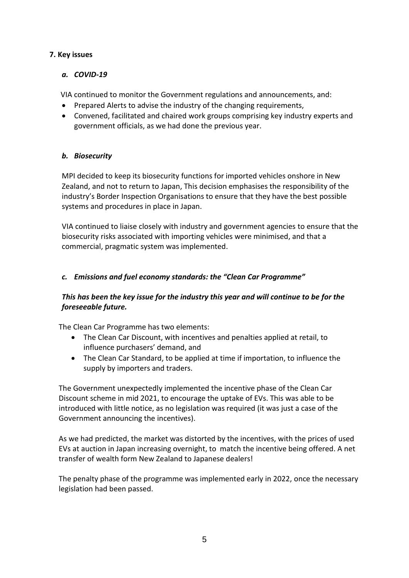# **7. Key issues**

# *a. COVID-19*

VIA continued to monitor the Government regulations and announcements, and:

- Prepared Alerts to advise the industry of the changing requirements,
- Convened, facilitated and chaired work groups comprising key industry experts and government officials, as we had done the previous year.

# *b. Biosecurity*

MPI decided to keep its biosecurity functions for imported vehicles onshore in New Zealand, and not to return to Japan, This decision emphasises the responsibility of the industry's Border Inspection Organisations to ensure that they have the best possible systems and procedures in place in Japan.

VIA continued to liaise closely with industry and government agencies to ensure that the biosecurity risks associated with importing vehicles were minimised, and that a commercial, pragmatic system was implemented.

# *c. Emissions and fuel economy standards: the "Clean Car Programme"*

# *This has been the key issue for the industry this year and will continue to be for the foreseeable future.*

The Clean Car Programme has two elements:

- The Clean Car Discount, with incentives and penalties applied at retail, to influence purchasers' demand, and
- The Clean Car Standard, to be applied at time if importation, to influence the supply by importers and traders.

The Government unexpectedly implemented the incentive phase of the Clean Car Discount scheme in mid 2021, to encourage the uptake of EVs. This was able to be introduced with little notice, as no legislation was required (it was just a case of the Government announcing the incentives).

As we had predicted, the market was distorted by the incentives, with the prices of used EVs at auction in Japan increasing overnight, to match the incentive being offered. A net transfer of wealth form New Zealand to Japanese dealers!

The penalty phase of the programme was implemented early in 2022, once the necessary legislation had been passed.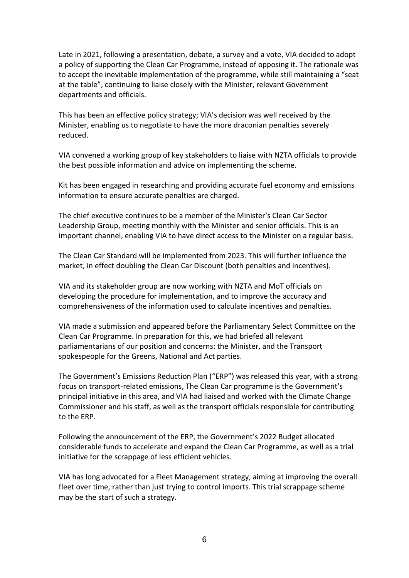Late in 2021, following a presentation, debate, a survey and a vote, VIA decided to adopt a policy of supporting the Clean Car Programme, instead of opposing it. The rationale was to accept the inevitable implementation of the programme, while still maintaining a "seat at the table", continuing to liaise closely with the Minister, relevant Government departments and officials.

This has been an effective policy strategy; VIA's decision was well received by the Minister, enabling us to negotiate to have the more draconian penalties severely reduced.

VIA convened a working group of key stakeholders to liaise with NZTA officials to provide the best possible information and advice on implementing the scheme.

Kit has been engaged in researching and providing accurate fuel economy and emissions information to ensure accurate penalties are charged.

The chief executive continues to be a member of the Minister's Clean Car Sector Leadership Group, meeting monthly with the Minister and senior officials. This is an important channel, enabling VIA to have direct access to the Minister on a regular basis.

The Clean Car Standard will be implemented from 2023. This will further influence the market, in effect doubling the Clean Car Discount (both penalties and incentives).

VIA and its stakeholder group are now working with NZTA and MoT officials on developing the procedure for implementation, and to improve the accuracy and comprehensiveness of the information used to calculate incentives and penalties.

VIA made a submission and appeared before the Parliamentary Select Committee on the Clean Car Programme. In preparation for this, we had briefed all relevant parliamentarians of our position and concerns: the Minister, and the Transport spokespeople for the Greens, National and Act parties.

The Government's Emissions Reduction Plan ("ERP") was released this year, with a strong focus on transport-related emissions, The Clean Car programme is the Government's principal initiative in this area, and VIA had liaised and worked with the Climate Change Commissioner and his staff, as well as the transport officials responsible for contributing to the ERP.

Following the announcement of the ERP, the Government's 2022 Budget allocated considerable funds to accelerate and expand the Clean Car Programme, as well as a trial initiative for the scrappage of less efficient vehicles.

VIA has long advocated for a Fleet Management strategy, aiming at improving the overall fleet over time, rather than just trying to control imports. This trial scrappage scheme may be the start of such a strategy.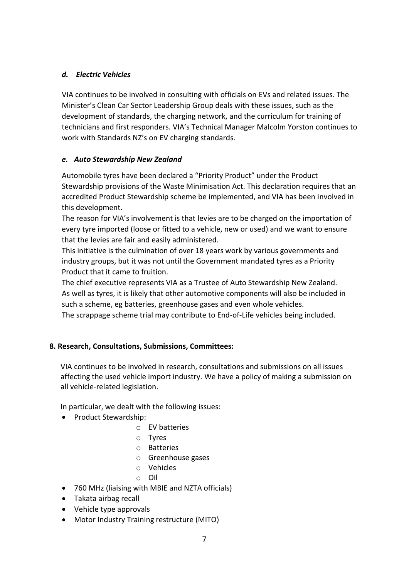# *d. Electric Vehicles*

VIA continues to be involved in consulting with officials on EVs and related issues. The Minister's Clean Car Sector Leadership Group deals with these issues, such as the development of standards, the charging network, and the curriculum for training of technicians and first responders. VIA's Technical Manager Malcolm Yorston continues to work with Standards NZ's on EV charging standards.

# *e. Auto Stewardship New Zealand*

Automobile tyres have been declared a "Priority Product" under the Product Stewardship provisions of the Waste Minimisation Act. This declaration requires that an accredited Product Stewardship scheme be implemented, and VIA has been involved in this development.

The reason for VIA's involvement is that levies are to be charged on the importation of every tyre imported (loose or fitted to a vehicle, new or used) and we want to ensure that the levies are fair and easily administered.

This initiative is the culmination of over 18 years work by various governments and industry groups, but it was not until the Government mandated tyres as a Priority Product that it came to fruition.

The chief executive represents VIA as a Trustee of Auto Stewardship New Zealand. As well as tyres, it is likely that other automotive components will also be included in such a scheme, eg batteries, greenhouse gases and even whole vehicles. The scrappage scheme trial may contribute to End-of-Life vehicles being included.

# **8. Research, Consultations, Submissions, Committees:**

VIA continues to be involved in research, consultations and submissions on all issues affecting the used vehicle import industry. We have a policy of making a submission on all vehicle-related legislation.

In particular, we dealt with the following issues:

- Product Stewardship:
	- o EV batteries
	- o Tyres
	- o Batteries
	- o Greenhouse gases
	- o Vehicles
	- o Oil
- 760 MHz (liaising with MBIE and NZTA officials)
- Takata airbag recall
- Vehicle type approvals
- Motor Industry Training restructure (MITO)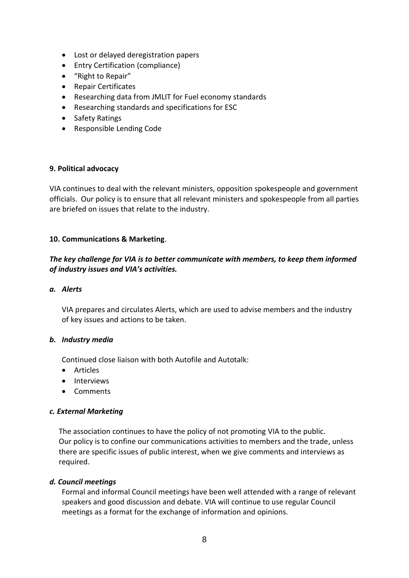- Lost or delayed deregistration papers
- Entry Certification (compliance)
- "Right to Repair"
- Repair Certificates
- Researching data from JMLIT for Fuel economy standards
- Researching standards and specifications for ESC
- Safety Ratings
- Responsible Lending Code

#### **9. Political advocacy**

VIA continues to deal with the relevant ministers, opposition spokespeople and government officials. Our policy is to ensure that all relevant ministers and spokespeople from all parties are briefed on issues that relate to the industry.

#### **10. Communications & Marketing**.

# *The key challenge for VIA is to better communicate with members, to keep them informed of industry issues and VIA's activities.*

#### *a. Alerts*

VIA prepares and circulates Alerts, which are used to advise members and the industry of key issues and actions to be taken.

#### *b. Industry media*

Continued close liaison with both Autofile and Autotalk:

- Articles
- Interviews
- Comments

#### *c. External Marketing*

 The association continues to have the policy of not promoting VIA to the public. Our policy is to confine our communications activities to members and the trade, unless there are specific issues of public interest, when we give comments and interviews as required.

#### *d. Council meetings*

Formal and informal Council meetings have been well attended with a range of relevant speakers and good discussion and debate. VIA will continue to use regular Council meetings as a format for the exchange of information and opinions.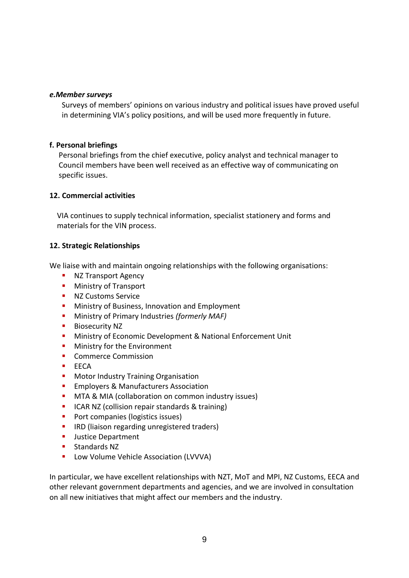#### *e.Member surveys*

Surveys of members' opinions on various industry and political issues have proved useful in determining VIA's policy positions, and will be used more frequently in future.

#### **f. Personal briefings**

Personal briefings from the chief executive, policy analyst and technical manager to Council members have been well received as an effective way of communicating on specific issues.

#### **12. Commercial activities**

VIA continues to supply technical information, specialist stationery and forms and materials for the VIN process.

# **12. Strategic Relationships**

We liaise with and maintain ongoing relationships with the following organisations:

- **NZ Transport Agency**
- **■** Ministry of Transport
- NZ Customs Service
- **■** Ministry of Business, Innovation and Employment
- Ministry of Primary Industries *(formerly MAF)*
- Biosecurity NZ
- **E** Ministry of Economic Development & National Enforcement Unit
- **■** Ministry for the Environment
- Commerce Commission
- FFCA
- **■** Motor Industry Training Organisation
- **Employers & Manufacturers Association**
- **■** MTA & MIA (collaboration on common industry issues)
- ICAR NZ (collision repair standards & training)
- Port companies (logistics issues)
- **IRD (liaison regarding unregistered traders)**
- **■** Justice Department
- Standards NZ
- Low Volume Vehicle Association (LVVVA)

In particular, we have excellent relationships with NZT, MoT and MPI, NZ Customs, EECA and other relevant government departments and agencies, and we are involved in consultation on all new initiatives that might affect our members and the industry.